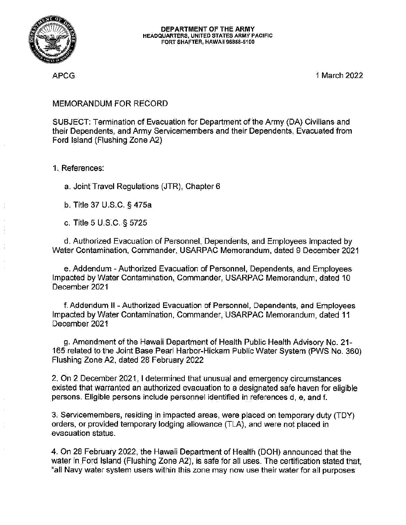

APCG

1 March 2022

## MEMORANDUM FOR RECORD

SUBJECT: Termination of Evacuation for Department of the Army (DA) Civilians and their Dependents, and Army Servicemembers and their Dependents, Evacuated from Ford Island (Flushing Zone A2)

1. References:

a. Joint Travel Regulations (JTR), Chapter 6

b. Title 37 U.S.C. § 475a

c. Title 5 U.S.C. § 5725

d. Authorized Evacuation of Personnel, Dependents, and Employees Impacted by Water Contamination, Commander, USARPAC Memorandum, dated 9 December 2021

e. Addendum - Authorized Evacuation of Personnel, Dependents, and Employees Impacted by Water Contamination, Commander, USARPAC Memorandum, dated 10 December 2021

**f. Adden-dum II - Authorized Evacuation of Personnel, Dependents, and Employees**  Impacted by Water Contamination, Commander, USARPAC Memorandum, dated 11 December 2021

g. Amendment of the Hawaii Department of Health Public Health Advisory No. 21- 165 related to the Joint Base Pearl Harbor-Hickam Public Water System (PWS No. 360) Flushing Zone A2, dated 28 February 2022

2. On 2 December 2021, I determined that unusual and emergency circumstances existed that warranted an authorized evacuation to a designated safe haven for eligible **persons. Eligible persons include personnel identified in references d, e, and f.** 

3. Servicemembers, residing in impacted areas, were placed on temporary duty (TDY) orders, or provided temporary lodging allowance (TLA), and were not placed in **evacuation status.** 

4. On 28 February 2022, the Hawaii Department of Health (DOH) announced that the water in Ford Island (Flushing Zone A2), is safe for all uses. The certification stated that, **"all Navy water system users within this zone may now use their water for all purposes**